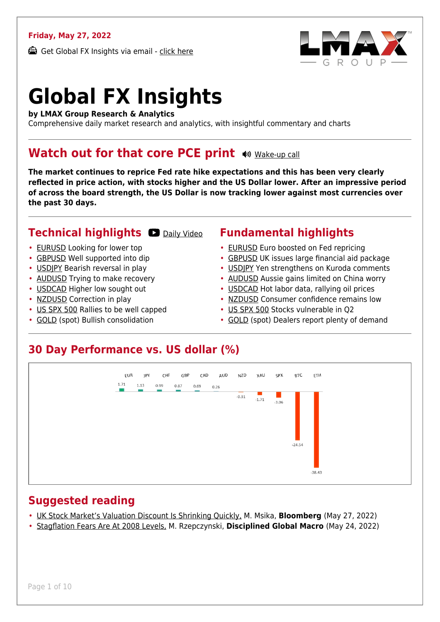### **Friday, May 27, 2022**

Get Global FX Insights via email - [click here](https://www.lmax.com/blog/global-fx-insights/sign-up/?src=gfxipdf)



# **Global FX Insights**

**by LMAX Group Research & Analytics**

Comprehensive daily market research and analytics, with insightful commentary and charts

### **Watch out for that core PCE print**  $\bullet$  [Wake-up call](https://www.lmax.com/blog/global-fx-insights/2022/05/27/watch-out-for-that-core-pce-print/?utm_source=GlobalFXInsights-Newsletter&utm_medium=Email&utm_campaign=GlobalFXInsights&audio=play#wakeup-53689)

**The market continues to reprice Fed rate hike expectations and this has been very clearly reflected in price action, with stocks higher and the US Dollar lower. After an impressive period of across the board strength, the US Dollar is now tracking lower against most currencies over the past 30 days.**

### **Technical highlights D** [Daily Video](https://www.lmax.com/blog/global-fx-insights/2022/05/27/watch-out-for-that-core-pce-print/?utm_source=GlobalFXInsights-Newsletter&utm_medium=Email&utm_campaign=GlobalFXInsights&popup=watch#charttalk-53689)

- [EURUSD](#page-1-0) Looking for lower top
- [GBPUSD](#page-2-0) Well supported into dip
- [USDJPY](#page-3-0) Bearish reversal in play
- [AUDUSD](#page-4-0) Trying to make recovery
- [USDCAD](#page-5-0) Higher low sought out
- [NZDUSD](#page-6-0) Correction in play
- [US SPX 500](#page-7-0) Rallies to be well capped
- [GOLD](#page-8-0) (spot) Bullish consolidation

### **Fundamental highlights**

- [EURUSD](#page-1-1) Euro boosted on Fed repricing
- [GBPUSD](#page-2-1) UK issues large financial aid package
- USDIPY Yen strengthens on Kuroda comments
- [AUDUSD](#page-4-1) Aussie gains limited on China worry
- [USDCAD](#page-5-1) Hot labor data, rallying oil prices
- [NZDUSD](#page-6-1) Consumer confidence remains low
- [US SPX 500](#page-7-1) Stocks vulnerable in Q2
- [GOLD](#page-8-1) (spot) Dealers report plenty of demand

### **30 Day Performance vs. US dollar (%)**



### **Suggested reading**

- [UK Stock Market's Valuation Discount Is Shrinking Quickly,](https://www.lmax.com/blog/global-fx-insights/2022/05/27/watch-out-for-that-core-pce-print/?read=https://www.bloomberg.com/news/articles/2022-05-27/uk-stock-market-s-valuation-discount-is-shrinking-quickly-chart?srnd=markets-vp) M. Msika, **Bloomberg** (May 27, 2022)
- [Stagflation Fears Are At 2008 Levels,](https://www.lmax.com/blog/global-fx-insights/2022/05/27/watch-out-for-that-core-pce-print/?read=http://mrzepczynski.blogspot.com/2022/05/stagflation-thinking-peaking-at-highest.html) M. Rzepczynski, **Disciplined Global Macro** (May 24, 2022)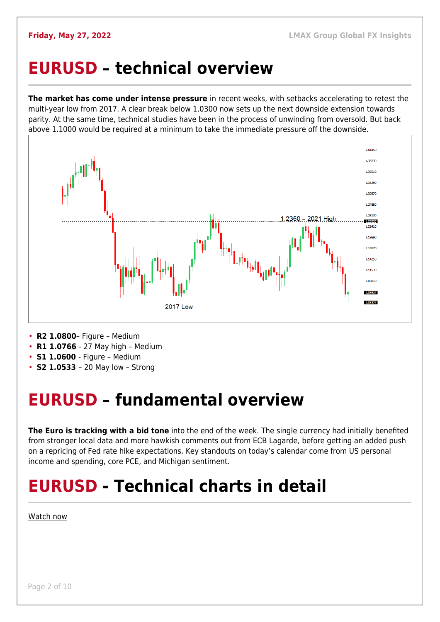### <span id="page-1-0"></span>**EURUSD – technical overview**

**The market has come under intense pressure** in recent weeks, with setbacks accelerating to retest the multi-year low from 2017. A clear break below 1.0300 now sets up the next downside extension towards parity. At the same time, technical studies have been in the process of unwinding from oversold. But back above 1.1000 would be required at a minimum to take the immediate pressure off the downside.



- **R2 1.0800** Figure Medium
- **R1 1.0766**  27 May high Medium
- **S1 1.0600**  Figure Medium
- **S2 1.0533**  20 May low Strong

## <span id="page-1-1"></span>**EURUSD – fundamental overview**

**The Euro is tracking with a bid tone** into the end of the week. The single currency had initially benefited from stronger local data and more hawkish comments out from ECB Lagarde, before getting an added push on a repricing of Fed rate hike expectations. Key standouts on today's calendar come from US personal income and spending, core PCE, and Michigan sentiment.

## **EURUSD - Technical charts in detail**

### [Watch now](https://youtu.be/KIAuQ9hDSNU)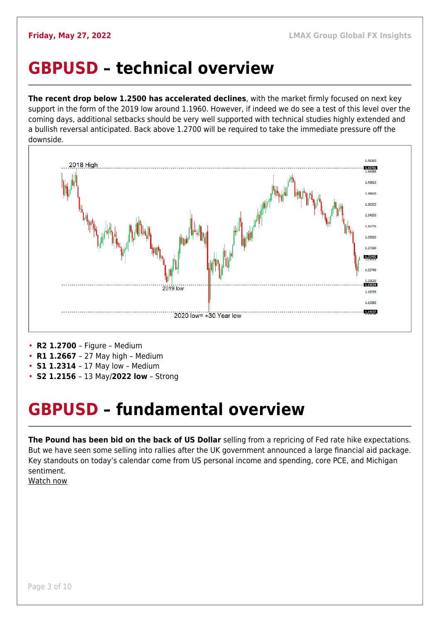### <span id="page-2-0"></span>**GBPUSD – technical overview**

**The recent drop below 1.2500 has accelerated declines**, with the market firmly focused on next key support in the form of the 2019 low around 1.1960. However, if indeed we do see a test of this level over the coming days, additional setbacks should be very well supported with technical studies highly extended and a bullish reversal anticipated. Back above 1.2700 will be required to take the immediate pressure off the downside.



- **R2 1.2700**  Figure Medium
- **R1 1.2667**  27 May high Medium
- **S1 1.2314**  17 May low Medium
- **S2 1.2156**  13 May/**2022 low** Strong

### <span id="page-2-1"></span>**GBPUSD – fundamental overview**

**The Pound has been bid on the back of US Dollar** selling from a repricing of Fed rate hike expectations. But we have seen some selling into rallies after the UK government announced a large financial aid package. Key standouts on today's calendar come from US personal income and spending, core PCE, and Michigan sentiment.

[Watch now](https://youtu.be/Lpkiv0nd_5E)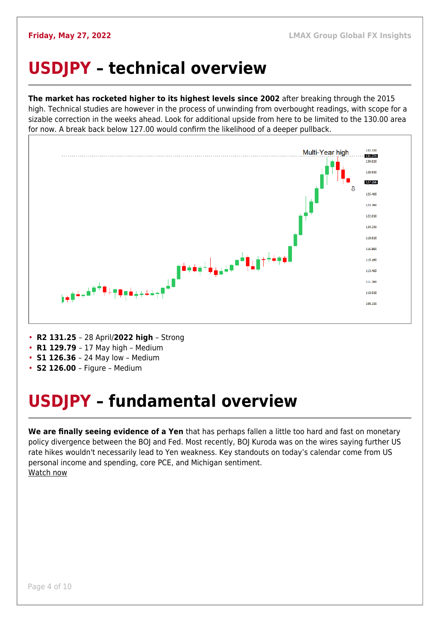## <span id="page-3-0"></span>**USDJPY – technical overview**

**The market has rocketed higher to its highest levels since 2002** after breaking through the 2015 high. Technical studies are however in the process of unwinding from overbought readings, with scope for a sizable correction in the weeks ahead. Look for additional upside from here to be limited to the 130.00 area for now. A break back below 127.00 would confirm the likelihood of a deeper pullback.



- **R2 131.25**  28 April/**2022 high**  Strong
- **R1 129.79**  17 May high Medium
- **S1 126.36**  24 May low Medium
- **S2 126.00**  Figure Medium

## <span id="page-3-1"></span>**USDJPY – fundamental overview**

**We are finally seeing evidence of a Yen** that has perhaps fallen a little too hard and fast on monetary policy divergence between the BOJ and Fed. Most recently, BOJ Kuroda was on the wires saying further US rate hikes wouldn't necessarily lead to Yen weakness. Key standouts on today's calendar come from US personal income and spending, core PCE, and Michigan sentiment. [Watch now](https://youtu.be/7RmvBqNOdgc)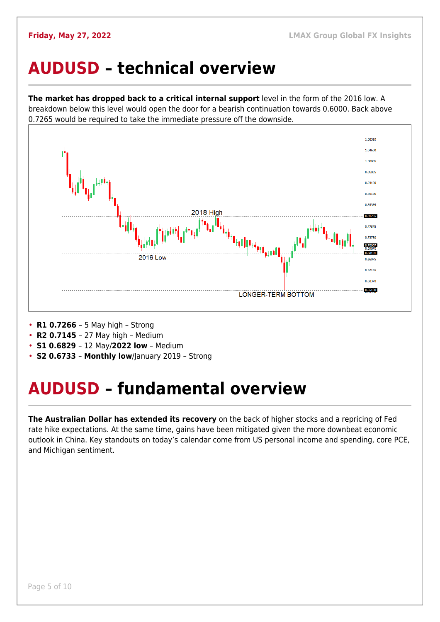### <span id="page-4-0"></span>**AUDUSD – technical overview**

**The market has dropped back to a critical internal support** level in the form of the 2016 low. A breakdown below this level would open the door for a bearish continuation towards 0.6000. Back above 0.7265 would be required to take the immediate pressure off the downside.



- **R1 0.7266**  5 May high Strong
- **R2 0.7145**  27 May high Medium
- **S1 0.6829**  12 May/**2022 low** Medium
- **S2 0.6733 Monthly low**/January 2019 Strong

### <span id="page-4-1"></span>**AUDUSD – fundamental overview**

**The Australian Dollar has extended its recovery** on the back of higher stocks and a repricing of Fed rate hike expectations. At the same time, gains have been mitigated given the more downbeat economic outlook in China. Key standouts on today's calendar come from US personal income and spending, core PCE, and Michigan sentiment.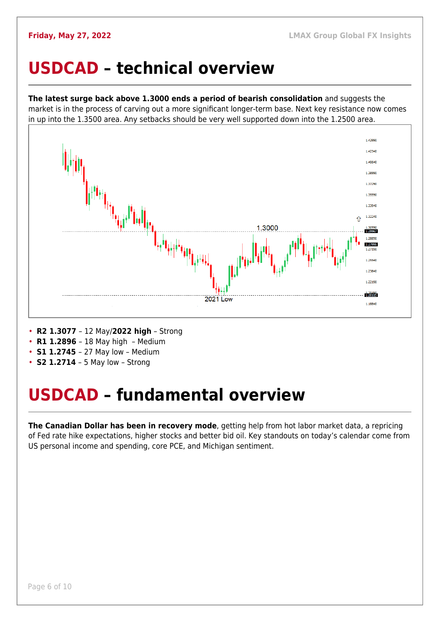### <span id="page-5-0"></span>**USDCAD – technical overview**

**The latest surge back above 1.3000 ends a period of bearish consolidation** and suggests the market is in the process of carving out a more significant longer-term base. Next key resistance now comes in up into the 1.3500 area. Any setbacks should be very well supported down into the 1.2500 area.



- **R2 1.3077**  12 May/**2022 high** Strong
- **R1 1.2896**  18 May high Medium
- **S1 1.2745**  27 May low Medium
- **S2 1.2714** 5 May low Strong

### <span id="page-5-1"></span>**USDCAD – fundamental overview**

**The Canadian Dollar has been in recovery mode**, getting help from hot labor market data, a repricing of Fed rate hike expectations, higher stocks and better bid oil. Key standouts on today's calendar come from US personal income and spending, core PCE, and Michigan sentiment.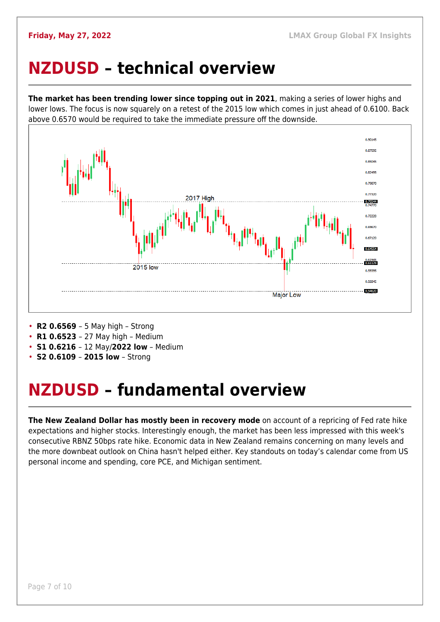### <span id="page-6-0"></span>**NZDUSD – technical overview**

**The market has been trending lower since topping out in 2021**, making a series of lower highs and lower lows. The focus is now squarely on a retest of the 2015 low which comes in just ahead of 0.6100. Back above 0.6570 would be required to take the immediate pressure off the downside.



- **R2 0.6569**  5 May high Strong
- **R1 0.6523**  27 May high Medium
- **S1 0.6216**  12 May/**2022 low** Medium
- **S2 0.6109 2015 low** Strong

### <span id="page-6-1"></span>**NZDUSD – fundamental overview**

**The New Zealand Dollar has mostly been in recovery mode** on account of a repricing of Fed rate hike expectations and higher stocks. Interestingly enough, the market has been less impressed with this week's consecutive RBNZ 50bps rate hike. Economic data in New Zealand remains concerning on many levels and the more downbeat outlook on China hasn't helped either. Key standouts on today's calendar come from US personal income and spending, core PCE, and Michigan sentiment.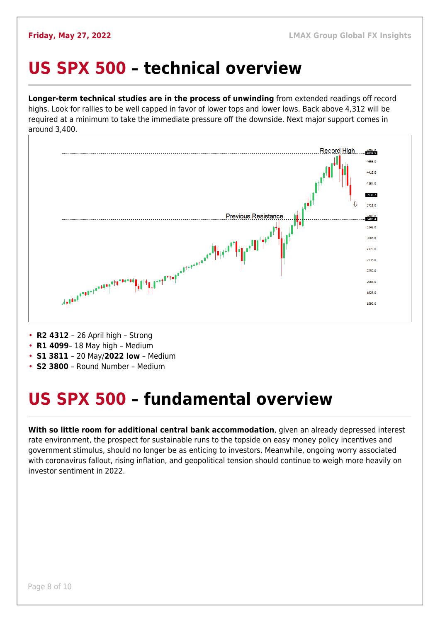### <span id="page-7-0"></span>**US SPX 500 – technical overview**

**Longer-term technical studies are in the process of unwinding** from extended readings off record highs. Look for rallies to be well capped in favor of lower tops and lower lows. Back above 4,312 will be required at a minimum to take the immediate pressure off the downside. Next major support comes in around 3,400.



• **R2 4312** – 26 April high – Strong

- **R1 4099** 18 May high Medium
- **S1 3811**  20 May/**2022 low** Medium
- **S2 3800**  Round Number Medium

## <span id="page-7-1"></span>**US SPX 500 – fundamental overview**

**With so little room for additional central bank accommodation**, given an already depressed interest rate environment, the prospect for sustainable runs to the topside on easy money policy incentives and government stimulus, should no longer be as enticing to investors. Meanwhile, ongoing worry associated with coronavirus fallout, rising inflation, and geopolitical tension should continue to weigh more heavily on investor sentiment in 2022.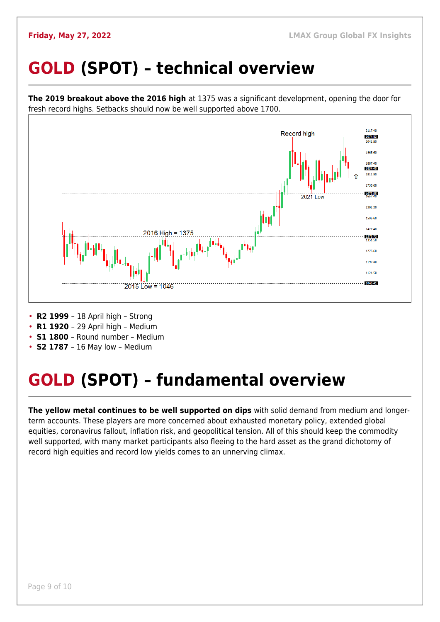## <span id="page-8-0"></span>**GOLD (SPOT) – technical overview**



- **R1 1920**  29 April high Medium
- **S1 1800**  Round number Medium
- 
- **S2 1787**  16 May low Medium

## <span id="page-8-1"></span>**GOLD (SPOT) – fundamental overview**

**The yellow metal continues to be well supported on dips** with solid demand from medium and longerterm accounts. These players are more concerned about exhausted monetary policy, extended global equities, coronavirus fallout, inflation risk, and geopolitical tension. All of this should keep the commodity well supported, with many market participants also fleeing to the hard asset as the grand dichotomy of record high equities and record low yields comes to an unnerving climax.